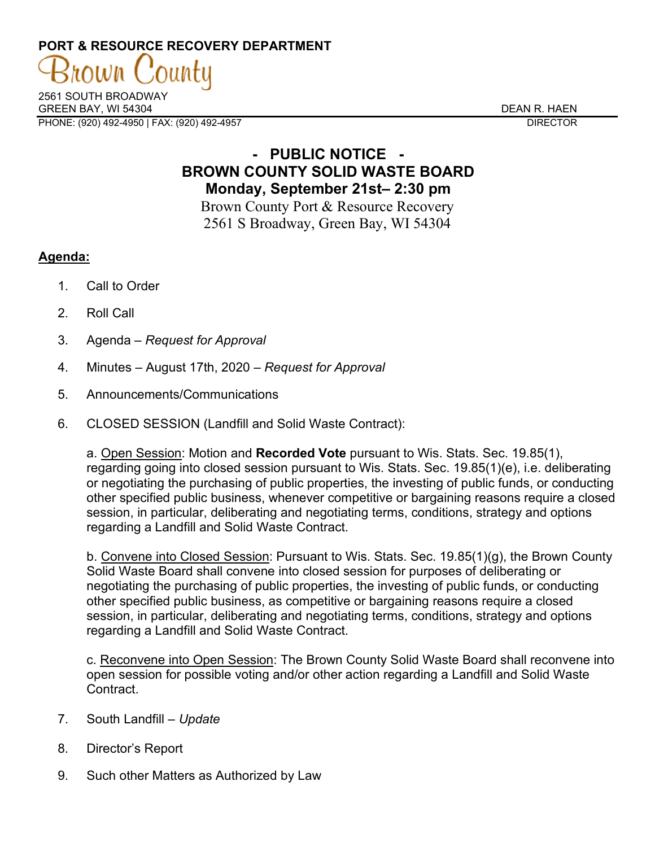# **PORT & RESOURCE RECOVERY DEPARTMENT**

2561 SOUTH BROADWAY GREEN BAY. WI 54304 DEAN R. HAEN PHONE: (920) 492-4950 | FAX: (920) 492-4957 DIRECTOR

rown

## **- PUBLIC NOTICE - BROWN COUNTY SOLID WASTE BOARD Monday, September 21st– 2:30 pm**

Brown County Port & Resource Recovery 2561 S Broadway, Green Bay, WI 54304

### **Agenda:**

- 1. Call to Order
- 2. Roll Call
- 3. Agenda *Request for Approval*
- 4. Minutes August 17th, 2020 *Request for Approval*
- 5. Announcements/Communications
- 6. CLOSED SESSION (Landfill and Solid Waste Contract):

a. Open Session: Motion and **Recorded Vote** pursuant to Wis. Stats. Sec. 19.85(1), regarding going into closed session pursuant to Wis. Stats. Sec. 19.85(1)(e), i.e. deliberating or negotiating the purchasing of public properties, the investing of public funds, or conducting other specified public business, whenever competitive or bargaining reasons require a closed session, in particular, deliberating and negotiating terms, conditions, strategy and options regarding a Landfill and Solid Waste Contract.

b. Convene into Closed Session: Pursuant to Wis. Stats. Sec. 19.85(1)(g), the Brown County Solid Waste Board shall convene into closed session for purposes of deliberating or negotiating the purchasing of public properties, the investing of public funds, or conducting other specified public business, as competitive or bargaining reasons require a closed session, in particular, deliberating and negotiating terms, conditions, strategy and options regarding a Landfill and Solid Waste Contract.

c. Reconvene into Open Session: The Brown County Solid Waste Board shall reconvene into open session for possible voting and/or other action regarding a Landfill and Solid Waste **Contract** 

- 7. South Landfill *Update*
- 8. Director's Report
- 9. Such other Matters as Authorized by Law